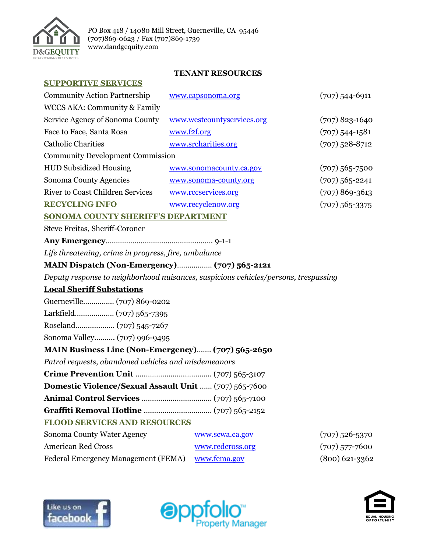

## **TENANT RESOURCES**

| <b>SUPPORTIVE SERVICES</b> |  |
|----------------------------|--|
|----------------------------|--|

| <b>Community Action Partnership</b>                                                 | www.capsonoma.org          | $(707)$ 544-6911   |  |
|-------------------------------------------------------------------------------------|----------------------------|--------------------|--|
| WCCS AKA: Community & Family                                                        |                            |                    |  |
| Service Agency of Sonoma County                                                     | www.westcountyservices.org | $(707)$ 823-1640   |  |
| Face to Face, Santa Rosa                                                            | www.f2f.org                | $(707)$ 544-1581   |  |
| <b>Catholic Charities</b>                                                           | www.srcharities.org        | $(707)$ 528-8712   |  |
| <b>Community Development Commission</b>                                             |                            |                    |  |
| <b>HUD Subsidized Housing</b>                                                       | www.sonomacounty.ca.gov    | $(707) 565 - 7500$ |  |
| Sonoma County Agencies                                                              | www.sonoma-county.org      | $(707)$ 565-2241   |  |
| <b>River to Coast Children Services</b>                                             | www.rccservices.org        | $(707)869-3613$    |  |
| <b>RECYCLING INFO</b>                                                               | www.recyclenow.org         | $(707)$ 565-3375   |  |
| <b>SONOMA COUNTY SHERIFF'S DEPARTMENT</b>                                           |                            |                    |  |
| <b>Steve Freitas, Sheriff-Coroner</b>                                               |                            |                    |  |
|                                                                                     |                            |                    |  |
| Life threatening, crime in progress, fire, ambulance                                |                            |                    |  |
| MAIN Dispatch (Non-Emergency) (707) 565-2121                                        |                            |                    |  |
| Deputy response to neighborhood nuisances, suspicious vehicles/persons, trespassing |                            |                    |  |
| <b>Local Sheriff Substations</b>                                                    |                            |                    |  |
|                                                                                     |                            |                    |  |
|                                                                                     |                            |                    |  |
|                                                                                     |                            |                    |  |
| Sonoma Valley (707) 996-9495                                                        |                            |                    |  |
| MAIN Business Line (Non-Emergency) (707) 565-2650                                   |                            |                    |  |
| Patrol requests, abandoned vehicles and misdemeanors                                |                            |                    |  |
|                                                                                     |                            |                    |  |
| Domestic Violence/Sexual Assault Unit  (707) 565-7600                               |                            |                    |  |
|                                                                                     |                            |                    |  |
|                                                                                     |                            |                    |  |
| <b>FLOOD SERVICES AND RESOURCES</b>                                                 |                            |                    |  |
| Sonoma County Water Agency                                                          | www.scwa.ca.gov            | $(707)$ 526-5370   |  |
| <b>American Red Cross</b>                                                           | www.redcross.org           | $(707)$ 577-7600   |  |
| <b>Federal Emergency Management (FEMA)</b>                                          | www.fema.gov               | $(800)$ 621-3362   |  |